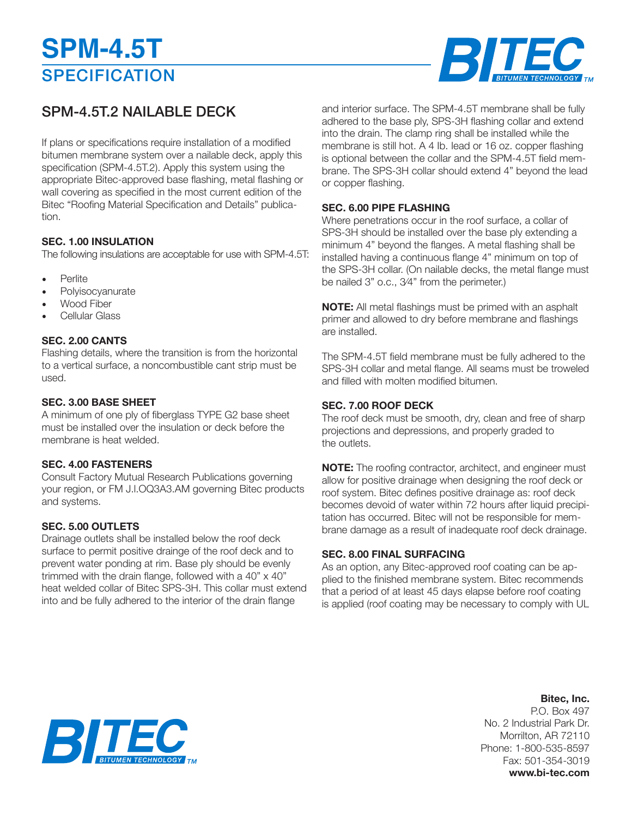# **SPECIFICATION SPM-4.5T**



### SPM-4.5T.2 NAILABLE DECK

If plans or specifications require installation of a modified bitumen membrane system over a nailable deck, apply this specification (SPM-4.5T.2). Apply this system using the appropriate Bitec-approved base flashing, metal flashing or wall covering as specified in the most current edition of the Bitec "Roofing Material Specification and Details" publication.

#### **SEC. 1.00 INSULATION**

The following insulations are acceptable for use with SPM-4.5T:

- Perlite
- **Polvisocvanurate**
- Wood Fiber
- Cellular Glass

#### **SEC. 2.00 CANTS**

Flashing details, where the transition is from the horizontal to a vertical surface, a noncombustible cant strip must be used.

#### **SEC. 3.00 BASE SHEET**

A minimum of one ply of fiberglass TYPE G2 base sheet must be installed over the insulation or deck before the membrane is heat welded.

#### **SEC. 4.00 FASTENERS**

Consult Factory Mutual Research Publications governing your region, or FM J.l.OQ3A3.AM governing Bitec products and systems.

#### **SEC. 5.00 OUTLETS**

Drainage outlets shall be installed below the roof deck surface to permit positive drainge of the roof deck and to prevent water ponding at rim. Base ply should be evenly trimmed with the drain flange, followed with a 40"  $\times$  40" heat welded collar of Bitec SPS-3H. This collar must extend into and be fully adhered to the interior of the drain flange

and interior surface. The SPM-4.5T membrane shall be fully adhered to the base ply, SPS-3H flashing collar and extend into the drain. The clamp ring shall be installed while the membrane is still hot. A 4 Ib. Iead or 16 oz. copper flashing is optional between the collar and the SPM-4.5T field membrane. The SPS-3H collar should extend 4" beyond the lead or copper flashing.

#### **SEC. 6.00 PIPE FLASHING**

Where penetrations occur in the roof surface, a collar of SPS-3H should be installed over the base ply extending a minimum 4" beyond the flanges. A metal flashing shall be installed having a continuous flange 4" minimum on top of the SPS-3H collar. (On nailable decks, the metal flange must be nailed 3" o.c., 3⁄4" from the perimeter.)

**NOTE:** All metal flashings must be primed with an asphalt primer and allowed to dry before membrane and flashings are installed.

The SPM-4.5T field membrane must be fully adhered to the SPS-3H collar and metal flange. All seams must be troweled and filled with molten modified bitumen.

#### **SEC. 7.00 ROOF DECK**

The roof deck must be smooth, dry, clean and free of sharp projections and depressions, and properly graded to the outlets.

**NOTE:** The roofing contractor, architect, and engineer must allow for positive drainage when designing the roof deck or roof system. Bitec defines positive drainage as: roof deck becomes devoid of water within 72 hours after liquid precipitation has occurred. Bitec will not be responsible for membrane damage as a result of inadequate roof deck drainage.

#### **SEC. 8.00 FINAL SURFACING**

As an option, any Bitec-approved roof coating can be applied to the finished membrane system. Bitec recommends that a period of at least 45 days elapse before roof coating is applied (roof coating may be necessary to comply with UL

### **Bitec, Inc.**

P.O. Box 497 No. 2 Industrial Park Dr. Morrilton, AR 72110 Phone: 1-800-535-8597 Fax: 501-354-3019 **www.bi-tec.com**